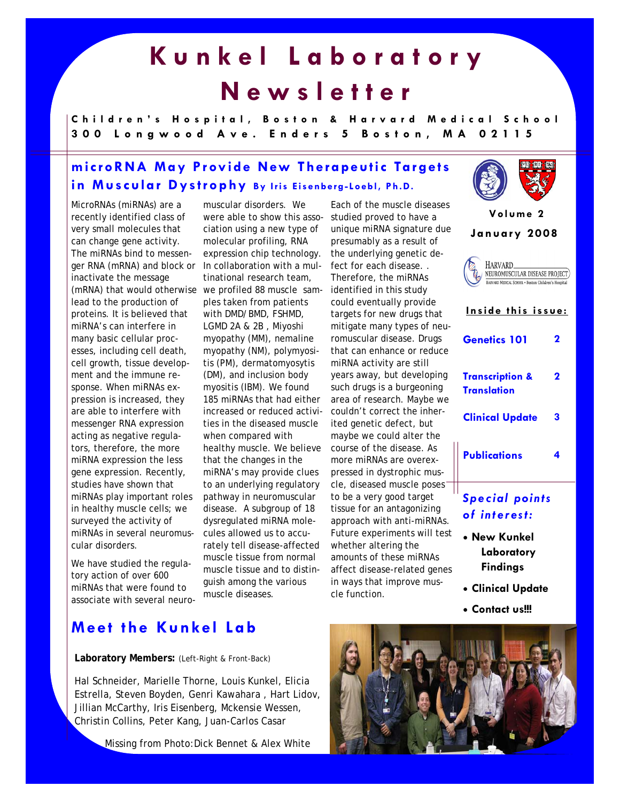# **Kunkel Laboratory Newsletter**

**Children's Hospital, Boston & Harvard Medical School 300 Longwood Ave. Enders 5 Boston, MA 02115** 

# **microRNA May Provide New Therapeutic Targets in Muscular Dystrophy By Iris Eisenberg-Loebl, Ph.D.**

MicroRNAs (miRNAs) are a recently identified class of very small molecules that can change gene activity. The miRNAs bind to messenger RNA (mRNA) and block or inactivate the message (mRNA) that would otherwise lead to the production of proteins. It is believed that miRNA's can interfere in many basic cellular processes, including cell death, cell growth, tissue development and the immune response. When miRNAs expression is increased, they are able to interfere with messenger RNA expression acting as negative regulators, therefore, the more miRNA expression the less gene expression. Recently, studies have shown that miRNAs play important roles in healthy muscle cells; we surveyed the activity of miRNAs in several neuromuscular disorders.

We have studied the regulatory action of over 600 miRNAs that were found to associate with several neuro-

muscular disorders. We were able to show this association using a new type of molecular profiling, RNA expression chip technology. In collaboration with a multinational research team, we profiled 88 muscle samples taken from patients with DMD/BMD, FSHMD, LGMD 2A & 2B , Miyoshi myopathy (MM), nemaline myopathy (NM), polymyositis (PM), dermatomyosytis (DM), and inclusion body myositis (IBM). We found 185 miRNAs that had either increased or reduced activities in the diseased muscle when compared with healthy muscle. We believe that the changes in the miRNA's may provide clues to an underlying regulatory pathway in neuromuscular disease. A subgroup of 18 dysregulated miRNA molecules allowed us to accurately tell disease-affected muscle tissue from normal muscle tissue and to distinguish among the various muscle diseases.

Each of the muscle diseases studied proved to have a unique miRNA signature due presumably as a result of the underlying genetic defect for each disease. . Therefore, the miRNAs identified in this study could eventually provide targets for new drugs that mitigate many types of neuromuscular disease. Drugs that can enhance or reduce miRNA activity are still years away, but developing such drugs is a burgeoning area of research. Maybe we couldn't correct the inherited genetic defect, but maybe we could alter the course of the disease. As more miRNAs are overexpressed in dystrophic muscle, diseased muscle poses<sup>-</sup> to be a very good target tissue for an antagonizing approach with anti-miRNAs. Future experiments will test whether altering the amounts of these miRNAs affect disease-related genes in ways that improve muscle function.



**Volume 2 January 2008**  HARVARD\_ NEUROMUSCULAR DISEASE PROJECT) HARVARD MEDICAL SCHOOL . Boston Children's Hospita **Inside this issue: Genetics 101 2 Transcription & 2 Translation Clinical Update 3 Publications 4**  *Special points of interest:* 

- **New Kunkel Laboratory Findings**
- **Clinical Update**
- **Contact us!!!**

### **Meet the Kunkel Lab**

#### **Laboratory Members:** (Left-Right & Front-Back)

Hal Schneider, Marielle Thorne, Louis Kunkel, Elicia Estrella, Steven Boyden, Genri Kawahara , Hart Lidov, Jillian McCarthy, Iris Eisenberg, Mckensie Wessen, Christin Collins, Peter Kang, Juan-Carlos Casar

Missing from Photo:Dick Bennet & Alex White

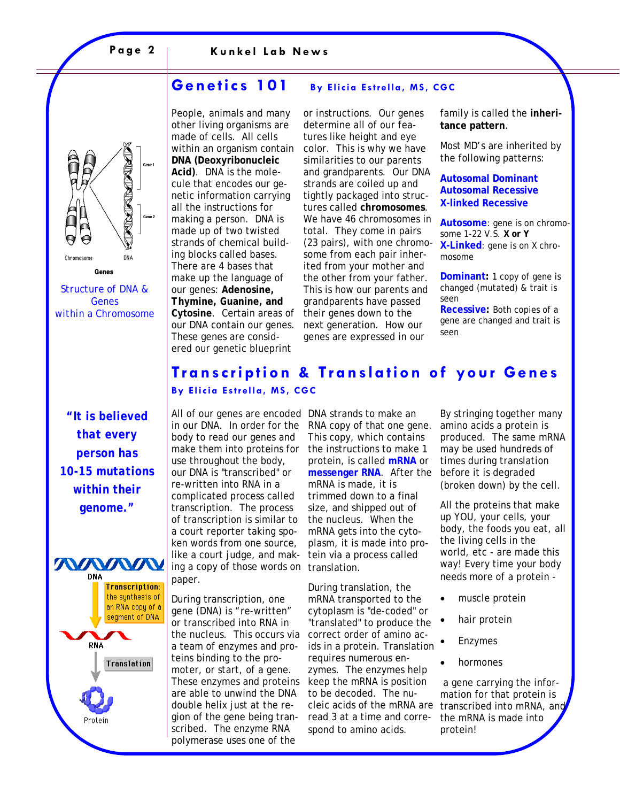# **NOTIFIED** DNA Chromosome

*Structure of DNA & Genes within a Chromosome* 

Genes

*"It is believed that every person has 10-15 mutations within their genome."* 



#### **Genetics 101 By Elicia Estrella, MS, CGC**

People, animals and many other living organisms are made of cells. All cells within an organism contain **DNA (***D***eoxyribo***n***ucleic**  *A***cid)**. DNA is the molecule that encodes our genetic information carrying all the instructions for making a person. DNA is made up of two twisted strands of chemical building blocks called bases. There are 4 bases that make up the language of our genes: *A***denosine,**  *T***hymine,** *G***uanine, and**  *C***ytosine**. Certain areas of our DNA contain our genes. These genes are considered our genetic blueprint

or instructions. Our genes determine all of our features like height and eye color. This is why we have similarities to our parents and grandparents. Our DNA strands are coiled up and tightly packaged into structures called **chromosomes**. We have 46 chromosomes in total. They come in pairs (23 pairs), with one chromosome from each pair inherited from your mother and the other from your father. This is how our parents and grandparents have passed their genes down to the next generation. How our genes are expressed in our

family is called the **inheritance pattern**.

Most MD's are inherited by the following patterns:

#### **Autosomal Dominant Autosomal Recessive X-linked Recessive**

**Autosome**: gene is on chromosome 1-22 V.S. **X or Y X-Linked**: gene is on X chromosome

**Dominant:** 1 copy of gene is changed (mutated) & trait is seen

**Recessive:** Both copies of a gene are changed and trait is seen

#### **Transcription & Translation of your Genes By Elicia Estrella, MS, CGC**

All of our genes are encoded DNA strands to make an in our DNA. In order for the body to read our genes and make them into proteins for use throughout the body, our DNA is "transcribed" or re-written into RNA in a complicated process called transcription. The process of transcription is similar to a court reporter taking spoken words from one source, like a court judge, and making a copy of those words on translation. paper.

During transcription, one gene (DNA) is "re-written" or transcribed into RNA in the nucleus. This occurs via correct order of amino aca team of enzymes and proteins binding to the promoter, or start, of a gene. These enzymes and proteins are able to unwind the DNA double helix just at the region of the gene being transcribed. The enzyme RNA polymerase uses one of the

RNA copy of that one gene. This copy, which contains the instructions to make 1 protein, is called **mRNA** or **messenger RNA**. After the mRNA is made, it is trimmed down to a final size, and shipped out of the nucleus. When the mRNA gets into the cytoplasm, it is made into protein via a process called

During translation, the mRNA transported to the cytoplasm is "de-coded" or "translated" to produce the ids in a protein. Translation requires numerous enzymes. The enzymes help keep the mRNA is position to be decoded. The nucleic acids of the mRNA are read 3 at a time and correspond to amino acids.

By stringing together many amino acids a protein is produced. The same mRNA may be used hundreds of times during translation before it is degraded (broken down) by the cell.

All the proteins that make up YOU, your cells, your body, the foods you eat, all the living cells in the world, etc - are made this way! Every time your body needs more of a protein -

- muscle protein
- hair protein
- Enzymes
- hormones

 a gene carrying the information for that protein is transcribed into mRNA, and the mRNA is made into protein!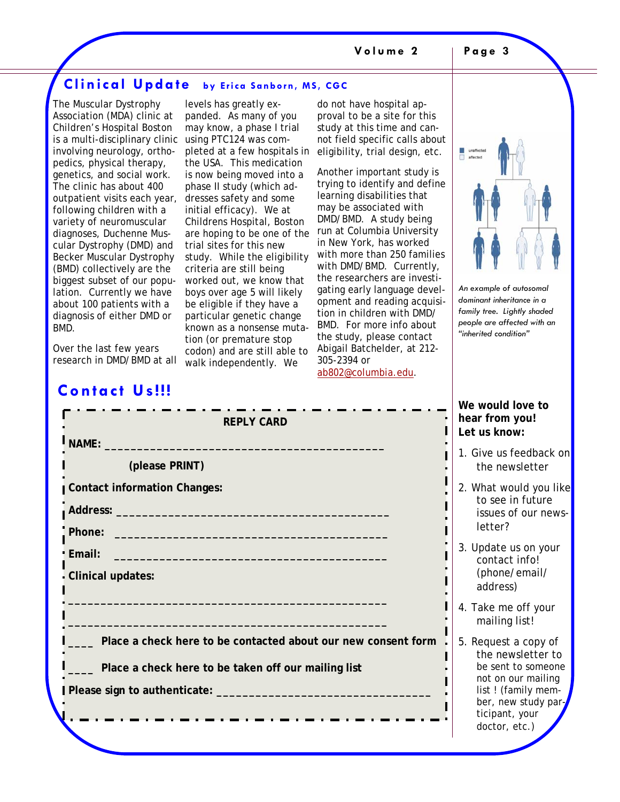#### **Clinical Update by Erica Sanborn, MS, CGC**

The Muscular Dystrophy Association (MDA) clinic at Children's Hospital Boston is a multi-disciplinary clinic using PTC124 was cominvolving neurology, orthopedics, physical therapy, genetics, and social work. The clinic has about 400 outpatient visits each year, following children with a variety of neuromuscular diagnoses, Duchenne Muscular Dystrophy (DMD) and Becker Muscular Dystrophy (BMD) collectively are the biggest subset of our population. Currently we have about 100 patients with a diagnosis of either DMD or BMD.

levels has greatly expanded. As many of you may know, a phase I trial pleted at a few hospitals in the USA. This medication is now being moved into a phase II study (which addresses safety and some initial efficacy). We at Childrens Hospital, Boston are hoping to be one of the trial sites for this new study. While the eligibility criteria are still being worked out, we know that boys over age 5 will likely be eligible if they have a particular genetic change known as a nonsense mutation (or premature stop codon) and are still able to walk independently. We

do not have hospital approval to be a site for this study at this time and cannot field specific calls about eligibility, trial design, etc.

Another important study is trying to identify and define learning disabilities that may be associated with DMD/BMD. A study being run at Columbia University in New York, has worked with more than 250 families with DMD/BMD. Currently, the researchers are investigating early language development and reading acquisition in children with DMD/ BMD. For more info about the study, please contact Abigail Batchelder, at 212- 305-2394 or ab802@columbia.edu.

*An example of autosomal dominant inheritance in a family tree. Lightly shaded people are affected with an "inherited condition"* 

Over the last few years research in DMD/BMD at all

## **Contact Us!!!**

| <b>REPLY CARD</b>                                                                                                                                                                                                                   |  |
|-------------------------------------------------------------------------------------------------------------------------------------------------------------------------------------------------------------------------------------|--|
| NAME:                                                                                                                                                                                                                               |  |
| (please PRINT)                                                                                                                                                                                                                      |  |
| <b>Contact information Changes:</b>                                                                                                                                                                                                 |  |
|                                                                                                                                                                                                                                     |  |
|                                                                                                                                                                                                                                     |  |
| <b>Email:</b> Email: The Contract of the Contract of the Contract of the Contract of the Contract of the Contract of the Contract of the Contract of the Contract of the Contract of the Contract of the Contract of the Contract o |  |
| <b>Clinical updates:</b>                                                                                                                                                                                                            |  |
|                                                                                                                                                                                                                                     |  |
|                                                                                                                                                                                                                                     |  |
| Place a check here to be contacted about our new consent form                                                                                                                                                                       |  |
| Place a check here to be taken off our mailing list                                                                                                                                                                                 |  |
|                                                                                                                                                                                                                                     |  |
|                                                                                                                                                                                                                                     |  |
|                                                                                                                                                                                                                                     |  |

**We would love to hear from you! Let us know:** 

- 1. Give us feedback on the newsletter
- 2. What would you like to see in future issues of our newsletter?
- 3. Update us on your contact info! (phone/email/ address)
- 4. Take me off your mailing list!
- 5. Request a copy of the newsletter to be sent to someone not on our mailing list ! (family member, new study participant, your doctor, etc.)